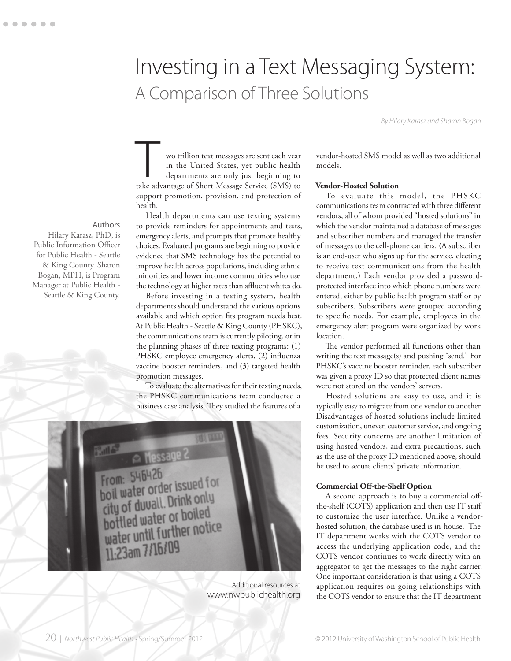# Investing in a Text Messaging System: A Comparison of Three Solutions

*By Hilary Karasz and Sharon Bogan*

wo trillion text messages are sent each year in the United States, yet public health departments are only just beginning to wo trillion text messages are sent each year<br>in the United States, yet public health<br>departments are only just beginning to<br>take advantage of Short Message Service (SMS) to support promotion, provision, and protection of health.

Health departments can use texting systems to provide reminders for appointments and tests, emergency alerts, and prompts that promote healthy choices. Evaluated programs are beginning to provide evidence that SMS technology has the potential to improve health across populations, including ethnic minorities and lower income communities who use the technology at higher rates than affluent whites do.

Before investing in a texting system, health departments should understand the various options available and which option fits program needs best. At Public Health - Seattle & King County (PHSKC), the communications team is currently piloting, or in the planning phases of three texting programs: (1) PHSKC employee emergency alerts, (2) influenza vaccine booster reminders, and (3) targeted health promotion messages.

To evaluate the alternatives for their texting needs, the PHSKC communications team conducted a business case analysis. They studied the features of a



Additional resources at www.nwpublichealth.org

vendor-hosted SMS model as well as two additional models.

# **Vendor-Hosted Solution**

To evaluate this model, the PHSKC communications team contracted with three different vendors, all of whom provided "hosted solutions" in which the vendor maintained a database of messages and subscriber numbers and managed the transfer of messages to the cell-phone carriers. (A subscriber is an end-user who signs up for the service, electing to receive text communications from the health department.) Each vendor provided a passwordprotected interface into which phone numbers were entered, either by public health program staff or by subscribers. Subscribers were grouped according to specific needs. For example, employees in the emergency alert program were organized by work location.

The vendor performed all functions other than writing the text message(s) and pushing "send." For PHSKC's vaccine booster reminder, each subscriber was given a proxy ID so that protected client names were not stored on the vendors' servers.

Hosted solutions are easy to use, and it is typically easy to migrate from one vendor to another. Disadvantages of hosted solutions include limited customization, uneven customer service, and ongoing fees. Security concerns are another limitation of using hosted vendors, and extra precautions, such as the use of the proxy ID mentioned above, should be used to secure clients' private information.

#### **Commercial Off-the-Shelf Option**

A second approach is to buy a commercial offthe-shelf (COTS) application and then use IT staff to customize the user interface. Unlike a vendorhosted solution, the database used is in-house. The IT department works with the COTS vendor to access the underlying application code, and the COTS vendor continues to work directly with an aggregator to get the messages to the right carrier. One important consideration is that using a COTS application requires on-going relationships with the COTS vendor to ensure that the IT department

Hilary Karasz, PhD, is Public Information Officer for Public Health - Seattle & King County. Sharon Bogan, MPH, is Program Manager at Public Health -

Seattle & King County.

Authors